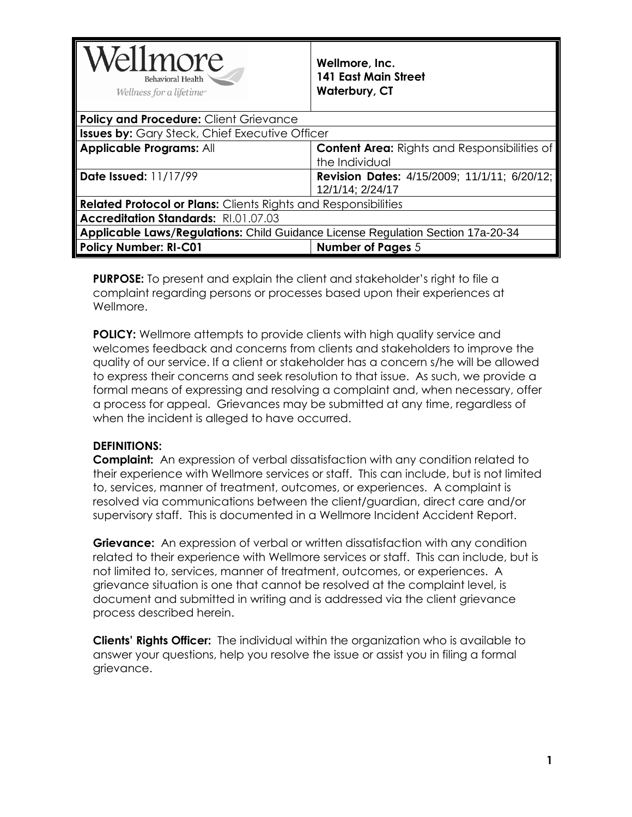| Wellmore<br><b>Behavioral Health</b><br>Wellness for a lifetime                  | Wellmore, Inc.<br><b>141 East Main Street</b><br><b>Waterbury, CT</b> |  |
|----------------------------------------------------------------------------------|-----------------------------------------------------------------------|--|
| <b>Policy and Procedure: Client Grievance</b>                                    |                                                                       |  |
| <b>Issues by:</b> Gary Steck, Chief Executive Officer                            |                                                                       |  |
| <b>Applicable Programs: All</b>                                                  | <b>Content Area: Rights and Responsibilities of</b><br>the Individual |  |
| Date Issued: 11/17/99                                                            | Revision Dates: 4/15/2009; 11/1/11; 6/20/12;<br>12/1/14; 2/24/17      |  |
| <b>Related Protocol or Plans:</b> Clients Rights and Responsibilities            |                                                                       |  |
| Accreditation Standards: RI.01.07.03                                             |                                                                       |  |
| Applicable Laws/Regulations: Child Guidance License Regulation Section 17a-20-34 |                                                                       |  |
| <b>Policy Number: RI-C01</b>                                                     | <b>Number of Pages 5</b>                                              |  |

**PURPOSE:** To present and explain the client and stakeholder's right to file a complaint regarding persons or processes based upon their experiences at Wellmore.

**POLICY:** Wellmore attempts to provide clients with high quality service and welcomes feedback and concerns from clients and stakeholders to improve the quality of our service. If a client or stakeholder has a concern s/he will be allowed to express their concerns and seek resolution to that issue. As such, we provide a formal means of expressing and resolving a complaint and, when necessary, offer a process for appeal. Grievances may be submitted at any time, regardless of when the incident is alleged to have occurred.

#### **DEFINITIONS:**

**Complaint:** An expression of verbal dissatisfaction with any condition related to their experience with Wellmore services or staff. This can include, but is not limited to, services, manner of treatment, outcomes, or experiences. A complaint is resolved via communications between the client/guardian, direct care and/or supervisory staff. This is documented in a Wellmore Incident Accident Report.

**Grievance:** An expression of verbal or written dissatisfaction with any condition related to their experience with Wellmore services or staff. This can include, but is not limited to, services, manner of treatment, outcomes, or experiences. A grievance situation is one that cannot be resolved at the complaint level, is document and submitted in writing and is addressed via the client grievance process described herein.

**Clients' Rights Officer:** The individual within the organization who is available to answer your questions, help you resolve the issue or assist you in filing a formal grievance.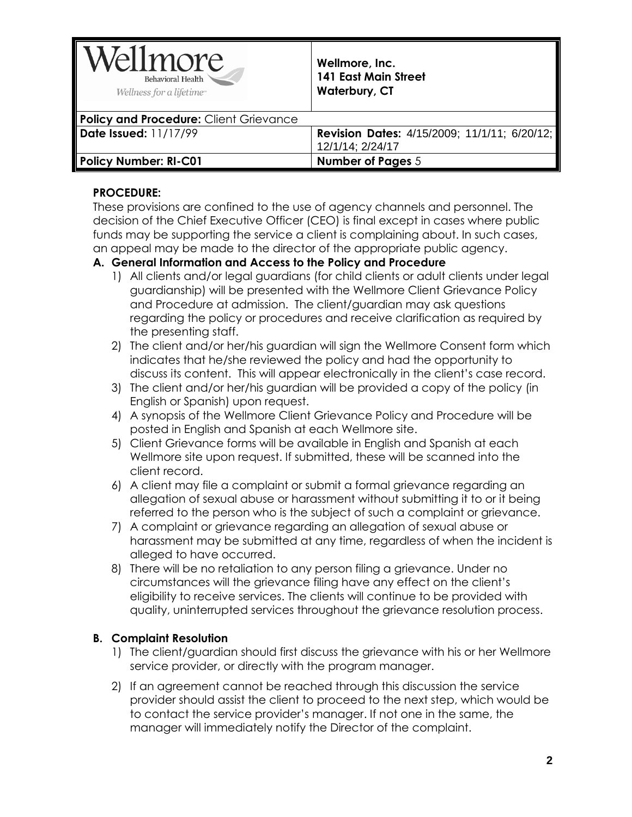| Wellmore<br>Behavioral Health<br>Wellness for a lifetime <sup>®</sup> | Wellmore, Inc.<br>141 East Main Street<br><b>Waterbury, CT</b>   |
|-----------------------------------------------------------------------|------------------------------------------------------------------|
| Policy and Procedure: Client Grievance                                |                                                                  |
| Date Issued: $11/17/99$                                               | Revision Dates: 4/15/2009; 11/1/11; 6/20/12;<br>12/1/14; 2/24/17 |
| Policy Number: RI-C01                                                 | <b>Number of Pages 5</b>                                         |

### **PROCEDURE:**

These provisions are confined to the use of agency channels and personnel. The decision of the Chief Executive Officer (CEO) is final except in cases where public funds may be supporting the service a client is complaining about. In such cases, an appeal may be made to the director of the appropriate public agency.

### **A. General Information and Access to the Policy and Procedure**

- 1) All clients and/or legal guardians (for child clients or adult clients under legal guardianship) will be presented with the Wellmore Client Grievance Policy and Procedure at admission. The client/guardian may ask questions regarding the policy or procedures and receive clarification as required by the presenting staff.
- 2) The client and/or her/his guardian will sign the Wellmore Consent form which indicates that he/she reviewed the policy and had the opportunity to discuss its content. This will appear electronically in the client's case record.
- 3) The client and/or her/his guardian will be provided a copy of the policy (in English or Spanish) upon request.
- 4) A synopsis of the Wellmore Client Grievance Policy and Procedure will be posted in English and Spanish at each Wellmore site.
- 5) Client Grievance forms will be available in English and Spanish at each Wellmore site upon request. If submitted, these will be scanned into the client record.
- 6) A client may file a complaint or submit a formal grievance regarding an allegation of sexual abuse or harassment without submitting it to or it being referred to the person who is the subject of such a complaint or grievance.
- 7) A complaint or grievance regarding an allegation of sexual abuse or harassment may be submitted at any time, regardless of when the incident is alleged to have occurred.
- 8) There will be no retaliation to any person filing a grievance. Under no circumstances will the grievance filing have any effect on the client's eligibility to receive services. The clients will continue to be provided with quality, uninterrupted services throughout the grievance resolution process.

# **B. Complaint Resolution**

- 1) The client/guardian should first discuss the grievance with his or her Wellmore service provider, or directly with the program manager.
- 2) If an agreement cannot be reached through this discussion the service provider should assist the client to proceed to the next step, which would be to contact the service provider's manager. If not one in the same, the manager will immediately notify the Director of the complaint.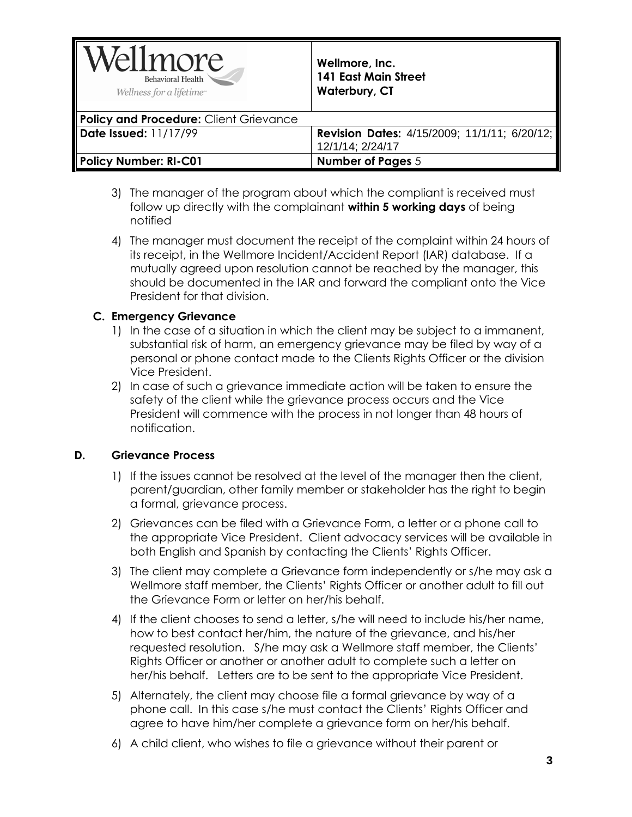| Wellmore<br>Behavioral Health<br>Wellness for a lifetime <sup>®</sup> | Wellmore, Inc.<br><b>141 East Main Street</b><br><b>Waterbury, CT</b> |
|-----------------------------------------------------------------------|-----------------------------------------------------------------------|
| Policy and Procedure: Client Grievance                                |                                                                       |
| Date Issued: $11/17/99$                                               | Revision Dates: 4/15/2009; 11/1/11; 6/20/12;                          |
|                                                                       | 12/1/14; 2/24/17                                                      |
| Policy Number: RI-C01                                                 | <b>Number of Pages 5</b>                                              |

- 3) The manager of the program about which the compliant is received must follow up directly with the complainant **within 5 working days** of being notified
- 4) The manager must document the receipt of the complaint within 24 hours of its receipt, in the Wellmore Incident/Accident Report (IAR) database. If a mutually agreed upon resolution cannot be reached by the manager, this should be documented in the IAR and forward the compliant onto the Vice President for that division.

#### **C. Emergency Grievance**

- 1) In the case of a situation in which the client may be subject to a immanent, substantial risk of harm, an emergency grievance may be filed by way of a personal or phone contact made to the Clients Rights Officer or the division Vice President.
- 2) In case of such a grievance immediate action will be taken to ensure the safety of the client while the grievance process occurs and the Vice President will commence with the process in not longer than 48 hours of notification.

#### **D. Grievance Process**

- 1) If the issues cannot be resolved at the level of the manager then the client, parent/guardian, other family member or stakeholder has the right to begin a formal, grievance process.
- 2) Grievances can be filed with a Grievance Form, a letter or a phone call to the appropriate Vice President. Client advocacy services will be available in both English and Spanish by contacting the Clients' Rights Officer.
- 3) The client may complete a Grievance form independently or s/he may ask a Wellmore staff member, the Clients' Rights Officer or another adult to fill out the Grievance Form or letter on her/his behalf.
- 4) If the client chooses to send a letter, s/he will need to include his/her name, how to best contact her/him, the nature of the grievance, and his/her requested resolution. S/he may ask a Wellmore staff member, the Clients' Rights Officer or another or another adult to complete such a letter on her/his behalf. Letters are to be sent to the appropriate Vice President.
- 5) Alternately, the client may choose file a formal grievance by way of a phone call. In this case s/he must contact the Clients' Rights Officer and agree to have him/her complete a grievance form on her/his behalf.
- 6) A child client, who wishes to file a grievance without their parent or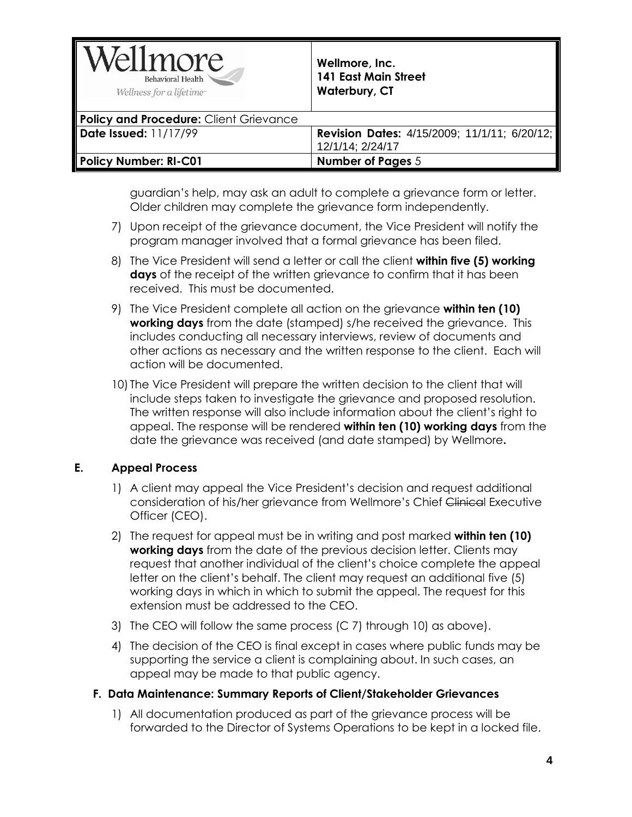| Wellmore<br>Behavioral Health<br>Wellness for a lifetime <sup>®</sup> | Wellmore, Inc.<br><b>141 East Main Street</b><br>Waterbury, CT |
|-----------------------------------------------------------------------|----------------------------------------------------------------|
| Policy and Procedure: Client Grievance                                |                                                                |
| Date Issued: 11/17/99                                                 | <b>Revision Dates: 4/15/2009; 11/1/11; 6/20/12;</b>            |
|                                                                       | 12/1/14; 2/24/17                                               |
| Policy Number: RI-C01                                                 | <b>Number of Pages 5</b>                                       |

guardian's help, may ask an adult to complete a grievance form or letter. Older children may complete the grievance form independently.

- 7) Upon receipt of the grievance document, the Vice President will notify the program manager involved that a formal grievance has been filed.
- 8) The Vice President will send a letter or call the client **within five (5) working days** of the receipt of the written grievance to confirm that it has been received. This must be documented.
- 9) The Vice President complete all action on the grievance **within ten (10) working days** from the date (stamped) s/he received the grievance. This includes conducting all necessary interviews, review of documents and other actions as necessary and the written response to the client. Each will action will be documented.
- 10) The Vice President will prepare the written decision to the client that will include steps taken to investigate the grievance and proposed resolution. The written response will also include information about the client's right to appeal. The response will be rendered **within ten (10) working days** from the date the grievance was received (and date stamped) by Wellmore**.**

# **E. Appeal Process**

- 1) A client may appeal the Vice President's decision and request additional consideration of his/her grievance from Wellmore's Chief Clinical Executive Officer (CEO).
- 2) The request for appeal must be in writing and post marked **within ten (10) working days** from the date of the previous decision letter. Clients may request that another individual of the client's choice complete the appeal letter on the client's behalf. The client may request an additional five (5) working days in which in which to submit the appeal. The request for this extension must be addressed to the CEO.
- 3) The CEO will follow the same process (C 7) through 10) as above).
- 4) The decision of the CEO is final except in cases where public funds may be supporting the service a client is complaining about. In such cases, an appeal may be made to that public agency.

#### **F. Data Maintenance: Summary Reports of Client/Stakeholder Grievances**

1) All documentation produced as part of the grievance process will be forwarded to the Director of Systems Operations to be kept in a locked file.